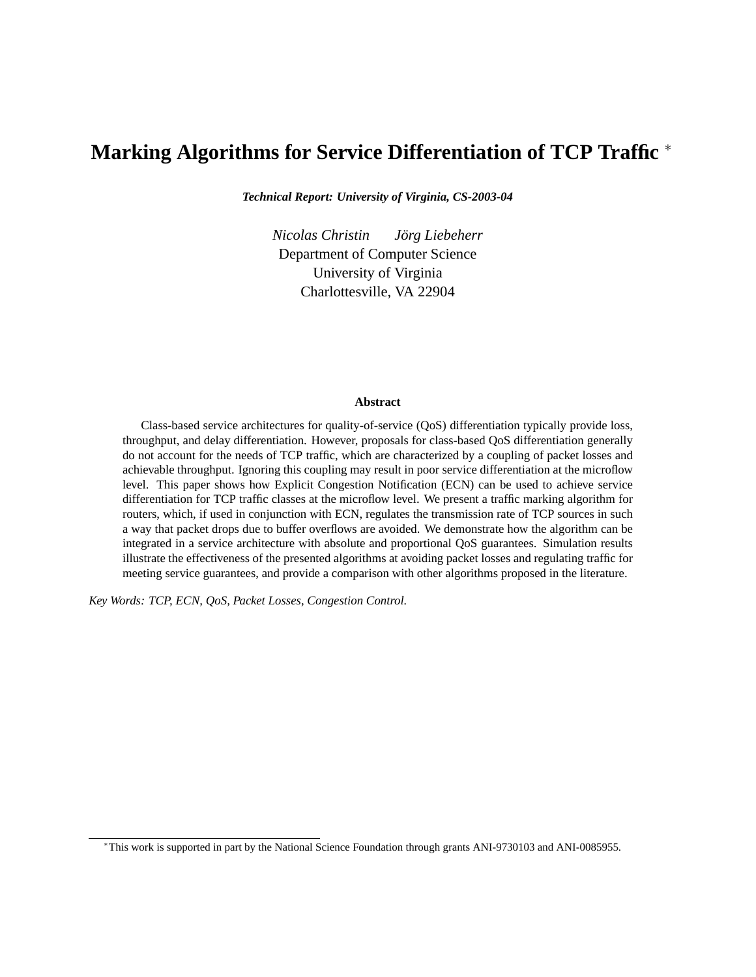# **Marking Algorithms for Service Differentiation of TCP Traffic** <sup>∗</sup>

*Technical Report: University of Virginia, CS-2003-04*

*Nicolas Christin Jorg Liebeherr ¨* Department of Computer Science University of Virginia Charlottesville, VA 22904

#### **Abstract**

Class-based service architectures for quality-of-service (QoS) differentiation typically provide loss, throughput, and delay differentiation. However, proposals for class-based QoS differentiation generally do not account for the needs of TCP traffic, which are characterized by a coupling of packet losses and achievable throughput. Ignoring this coupling may result in poor service differentiation at the microflow level. This paper shows how Explicit Congestion Notification (ECN) can be used to achieve service differentiation for TCP traffic classes at the microflow level. We present a traffic marking algorithm for routers, which, if used in conjunction with ECN, regulates the transmission rate of TCP sources in such a way that packet drops due to buffer overflows are avoided. We demonstrate how the algorithm can be integrated in a service architecture with absolute and proportional QoS guarantees. Simulation results illustrate the effectiveness of the presented algorithms at avoiding packet losses and regulating traffic for meeting service guarantees, and provide a comparison with other algorithms proposed in the literature.

*Key Words: TCP, ECN, QoS, Packet Losses, Congestion Control.*

<sup>∗</sup>This work is supported in part by the National Science Foundation through grants ANI-9730103 and ANI-0085955.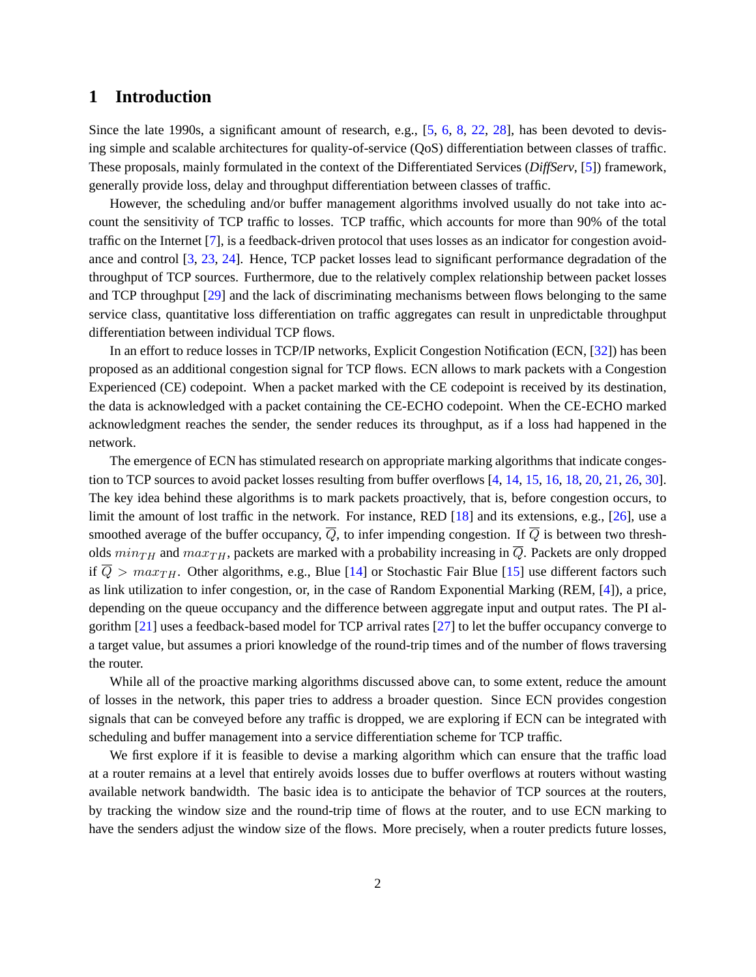# **1 Introduction**

Since the late 1990s, a significant amount of research, e.g., [\[5,](#page-18-0) [6,](#page-18-1) [8,](#page-18-2) [22,](#page-19-0) [28\]](#page-19-1), has been devoted to devising simple and scalable architectures for quality-of-service (QoS) differentiation between classes of traffic. These proposals, mainly formulated in the context of the Differentiated Services (*DiffServ*, [\[5\]](#page-18-0)) framework, generally provide loss, delay and throughput differentiation between classes of traffic.

However, the scheduling and/or buffer management algorithms involved usually do not take into account the sensitivity of TCP traffic to losses. TCP traffic, which accounts for more than 90% of the total traffic on the Internet [\[7\]](#page-18-3), is a feedback-driven protocol that uses losses as an indicator for congestion avoidance and control [\[3,](#page-18-4) [23,](#page-19-2) [24\]](#page-19-3). Hence, TCP packet losses lead to significant performance degradation of the throughput of TCP sources. Furthermore, due to the relatively complex relationship between packet losses and TCP throughput [\[29\]](#page-19-4) and the lack of discriminating mechanisms between flows belonging to the same service class, quantitative loss differentiation on traffic aggregates can result in unpredictable throughput differentiation between individual TCP flows.

In an effort to reduce losses in TCP/IP networks, Explicit Congestion Notification (ECN, [\[32\]](#page-19-5)) has been proposed as an additional congestion signal for TCP flows. ECN allows to mark packets with a Congestion Experienced (CE) codepoint. When a packet marked with the CE codepoint is received by its destination, the data is acknowledged with a packet containing the CE-ECHO codepoint. When the CE-ECHO marked acknowledgment reaches the sender, the sender reduces its throughput, as if a loss had happened in the network.

The emergence of ECN has stimulated research on appropriate marking algorithms that indicate congestion to TCP sources to avoid packet losses resulting from buffer overflows [\[4,](#page-18-5) [14,](#page-18-6) [15,](#page-18-7) [16,](#page-18-8) [18,](#page-19-6) [20,](#page-19-7) [21,](#page-19-8) [26,](#page-19-9) [30\]](#page-19-10). The key idea behind these algorithms is to mark packets proactively, that is, before congestion occurs, to limit the amount of lost traffic in the network. For instance, RED [\[18\]](#page-19-6) and its extensions, e.g., [\[26\]](#page-19-9), use a smoothed average of the buffer occupancy,  $\overline{Q}$ , to infer impending congestion. If  $\overline{Q}$  is between two thresholds  $min_{TH}$  and  $max_{TH}$ , packets are marked with a probability increasing in  $\overline{Q}$ . Packets are only dropped if  $\overline{Q}$  >  $max_{TH}$ . Other algorithms, e.g., Blue [\[14\]](#page-18-6) or Stochastic Fair Blue [\[15\]](#page-18-7) use different factors such as link utilization to infer congestion, or, in the case of Random Exponential Marking (REM, [\[4\]](#page-18-5)), a price, depending on the queue occupancy and the difference between aggregate input and output rates. The PI algorithm [\[21\]](#page-19-8) uses a feedback-based model for TCP arrival rates [\[27\]](#page-19-11) to let the buffer occupancy converge to a target value, but assumes a priori knowledge of the round-trip times and of the number of flows traversing the router.

While all of the proactive marking algorithms discussed above can, to some extent, reduce the amount of losses in the network, this paper tries to address a broader question. Since ECN provides congestion signals that can be conveyed before any traffic is dropped, we are exploring if ECN can be integrated with scheduling and buffer management into a service differentiation scheme for TCP traffic.

We first explore if it is feasible to devise a marking algorithm which can ensure that the traffic load at a router remains at a level that entirely avoids losses due to buffer overflows at routers without wasting available network bandwidth. The basic idea is to anticipate the behavior of TCP sources at the routers, by tracking the window size and the round-trip time of flows at the router, and to use ECN marking to have the senders adjust the window size of the flows. More precisely, when a router predicts future losses,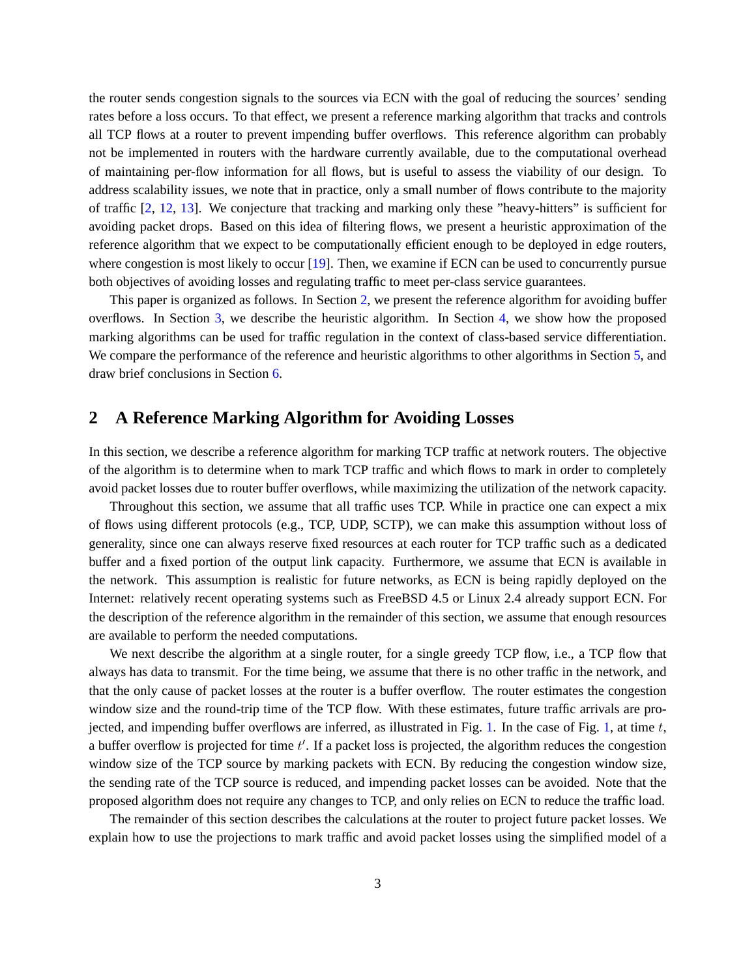the router sends congestion signals to the sources via ECN with the goal of reducing the sources' sending rates before a loss occurs. To that effect, we present a reference marking algorithm that tracks and controls all TCP flows at a router to prevent impending buffer overflows. This reference algorithm can probably not be implemented in routers with the hardware currently available, due to the computational overhead of maintaining per-flow information for all flows, but is useful to assess the viability of our design. To address scalability issues, we note that in practice, only a small number of flows contribute to the majority of traffic [\[2,](#page-18-9) [12,](#page-18-10) [13\]](#page-18-11). We conjecture that tracking and marking only these "heavy-hitters" is sufficient for avoiding packet drops. Based on this idea of filtering flows, we present a heuristic approximation of the reference algorithm that we expect to be computationally efficient enough to be deployed in edge routers, where congestion is most likely to occur  $[19]$ . Then, we examine if ECN can be used to concurrently pursue both objectives of avoiding losses and regulating traffic to meet per-class service guarantees.

This paper is organized as follows. In Section [2,](#page-2-0) we present the reference algorithm for avoiding buffer overflows. In Section [3,](#page-7-0) we describe the heuristic algorithm. In Section [4,](#page-10-0) we show how the proposed marking algorithms can be used for traffic regulation in the context of class-based service differentiation. We compare the performance of the reference and heuristic algorithms to other algorithms in Section [5,](#page-11-0) and draw brief conclusions in Section [6.](#page-17-0)

# <span id="page-2-0"></span>**2 A Reference Marking Algorithm for Avoiding Losses**

In this section, we describe a reference algorithm for marking TCP traffic at network routers. The objective of the algorithm is to determine when to mark TCP traffic and which flows to mark in order to completely avoid packet losses due to router buffer overflows, while maximizing the utilization of the network capacity.

Throughout this section, we assume that all traffic uses TCP. While in practice one can expect a mix of flows using different protocols (e.g., TCP, UDP, SCTP), we can make this assumption without loss of generality, since one can always reserve fixed resources at each router for TCP traffic such as a dedicated buffer and a fixed portion of the output link capacity. Furthermore, we assume that ECN is available in the network. This assumption is realistic for future networks, as ECN is being rapidly deployed on the Internet: relatively recent operating systems such as FreeBSD 4.5 or Linux 2.4 already support ECN. For the description of the reference algorithm in the remainder of this section, we assume that enough resources are available to perform the needed computations.

We next describe the algorithm at a single router, for a single greedy TCP flow, i.e., a TCP flow that always has data to transmit. For the time being, we assume that there is no other traffic in the network, and that the only cause of packet losses at the router is a buffer overflow. The router estimates the congestion window size and the round-trip time of the TCP flow. With these estimates, future traffic arrivals are pro-jected, and impending buffer overflows are inferred, as illustrated in Fig. [1.](#page-3-0) In the case of Fig. [1,](#page-3-0) at time  $t$ , a buffer overflow is projected for time  $t'$ . If a packet loss is projected, the algorithm reduces the congestion window size of the TCP source by marking packets with ECN. By reducing the congestion window size, the sending rate of the TCP source is reduced, and impending packet losses can be avoided. Note that the proposed algorithm does not require any changes to TCP, and only relies on ECN to reduce the traffic load.

The remainder of this section describes the calculations at the router to project future packet losses. We explain how to use the projections to mark traffic and avoid packet losses using the simplified model of a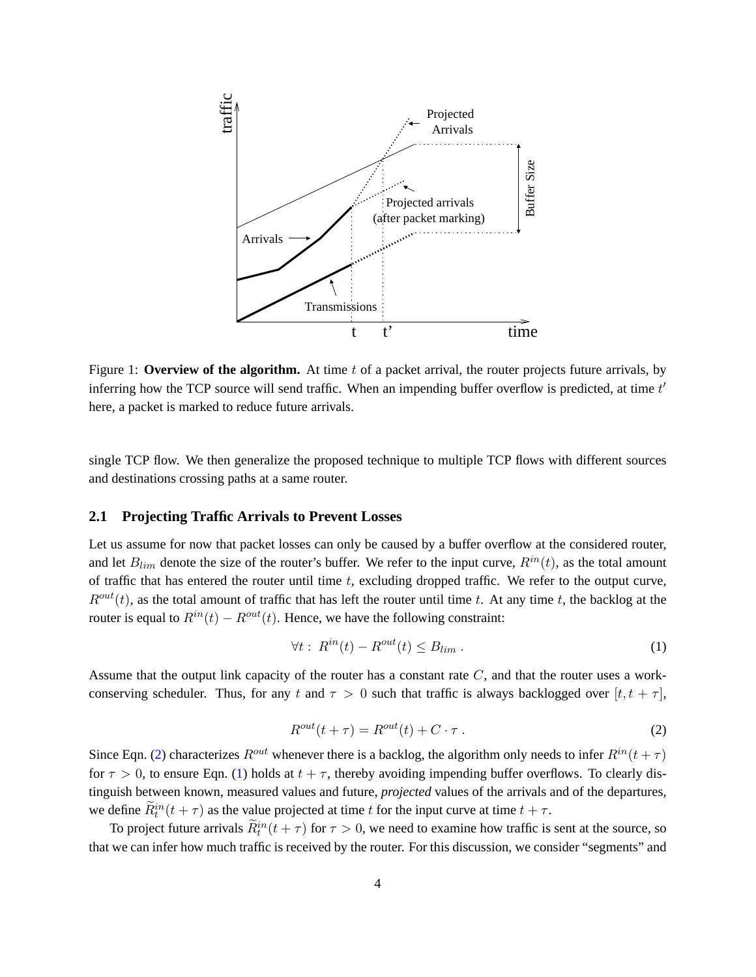

<span id="page-3-0"></span>Figure 1: **Overview of the algorithm.** At time t of a packet arrival, the router projects future arrivals, by inferring how the TCP source will send traffic. When an impending buffer overflow is predicted, at time  $t'$ here, a packet is marked to reduce future arrivals.

single TCP flow. We then generalize the proposed technique to multiple TCP flows with different sources and destinations crossing paths at a same router.

### <span id="page-3-3"></span>**2.1 Projecting Traffic Arrivals to Prevent Losses**

Let us assume for now that packet losses can only be caused by a buffer overflow at the considered router, and let  $B_{lim}$  denote the size of the router's buffer. We refer to the input curve,  $R^{in}(t)$ , as the total amount of traffic that has entered the router until time  $t$ , excluding dropped traffic. We refer to the output curve,  $R^{out}(t)$ , as the total amount of traffic that has left the router until time t. At any time t, the backlog at the router is equal to  $R^{in}(t) - R^{out}(t)$ . Hence, we have the following constraint:

<span id="page-3-2"></span>
$$
\forall t: R^{in}(t) - R^{out}(t) \leq B_{lim} . \tag{1}
$$

<span id="page-3-1"></span>Assume that the output link capacity of the router has a constant rate  $C$ , and that the router uses a workconserving scheduler. Thus, for any t and  $\tau > 0$  such that traffic is always backlogged over  $[t, t + \tau]$ ,

$$
R^{out}(t+\tau) = R^{out}(t) + C \cdot \tau \tag{2}
$$

Since Eqn. [\(2\)](#page-3-1) characterizes  $R^{out}$  whenever there is a backlog, the algorithm only needs to infer  $R^{in}(t + \tau)$ for  $\tau > 0$ , to ensure Eqn. [\(1\)](#page-3-2) holds at  $t + \tau$ , thereby avoiding impending buffer overflows. To clearly distinguish between known, measured values and future, *projected* values of the arrivals and of the departures, we define  $\widetilde{R}_t^{in}(t + \tau)$  as the value projected at time t for the input curve at time  $t + \tau$ .

To project future arrivals  $\tilde{R}_t^{in}(t + \tau)$  for  $\tau > 0$ , we need to examine how traffic is sent at the source, so that we can infer how much traffic is received by the router. For this discussion, we consider "segments" and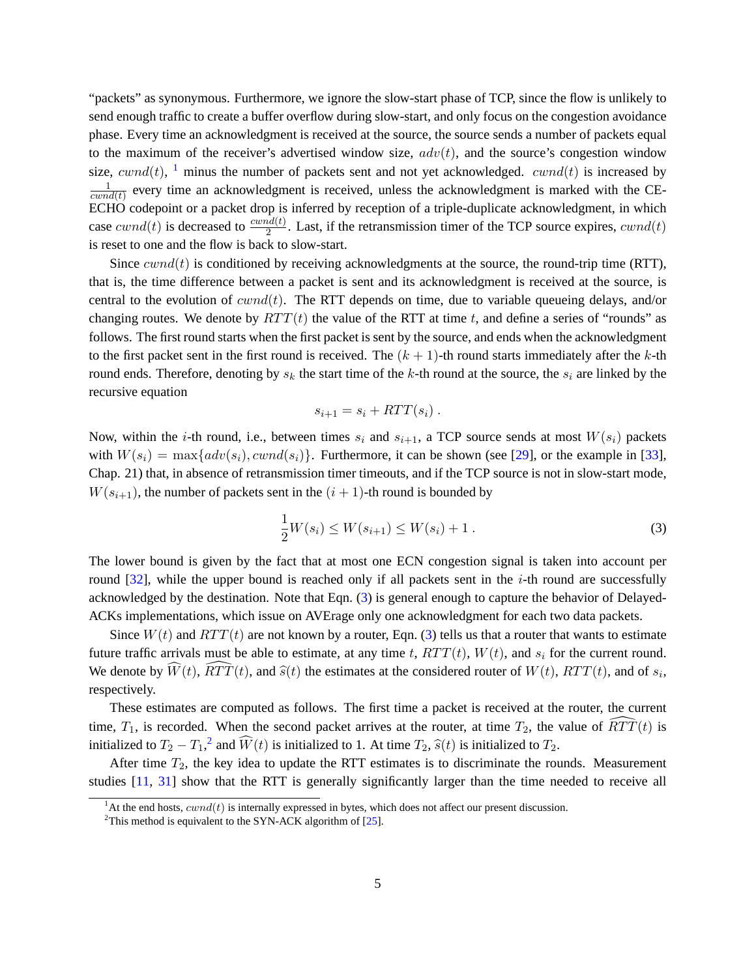"packets" as synonymous. Furthermore, we ignore the slow-start phase of TCP, since the flow is unlikely to send enough traffic to create a buffer overflow during slow-start, and only focus on the congestion avoidance phase. Every time an acknowledgment is received at the source, the source sends a number of packets equal to the maximum of the receiver's advertised window size,  $adv(t)$ , and the source's congestion window size,  $cwnd(t)$ , <sup>[1](#page-4-0)</sup> minus the number of packets sent and not yet acknowledged.  $cwnd(t)$  is increased by 1  $\frac{1}{cwnd(t)}$  every time an acknowledgment is received, unless the acknowledgment is marked with the CE-ECHO codepoint or a packet drop is inferred by reception of a triple-duplicate acknowledgment, in which case  $cwnd(t)$  is decreased to  $\frac{cwnd(t)}{2}$ . Last, if the retransmission timer of the TCP source expires,  $cwnd(t)$ is reset to one and the flow is back to slow-start.

Since  $cwnd(t)$  is conditioned by receiving acknowledgments at the source, the round-trip time (RTT), that is, the time difference between a packet is sent and its acknowledgment is received at the source, is central to the evolution of  $cwnd(t)$ . The RTT depends on time, due to variable queueing delays, and/or changing routes. We denote by  $RTT(t)$  the value of the RTT at time t, and define a series of "rounds" as follows. The first round starts when the first packet is sent by the source, and ends when the acknowledgment to the first packet sent in the first round is received. The  $(k + 1)$ -th round starts immediately after the k-th round ends. Therefore, denoting by  $s_k$  the start time of the k-th round at the source, the  $s_i$  are linked by the recursive equation

<span id="page-4-1"></span>
$$
s_{i+1} = s_i + RTT(s_i) .
$$

Now, within the *i*-th round, i.e., between times  $s_i$  and  $s_{i+1}$ , a TCP source sends at most  $W(s_i)$  packets with  $W(s_i) = \max\{adv(s_i), cwnd(s_i)\}\$ . Furthermore, it can be shown (see [\[29\]](#page-19-4), or the example in [\[33\]](#page-19-13), Chap. 21) that, in absence of retransmission timer timeouts, and if the TCP source is not in slow-start mode,  $W(s_{i+1})$ , the number of packets sent in the  $(i + 1)$ -th round is bounded by

$$
\frac{1}{2}W(s_i) \le W(s_{i+1}) \le W(s_i) + 1.
$$
\n(3)

The lower bound is given by the fact that at most one ECN congestion signal is taken into account per round  $[32]$ , while the upper bound is reached only if all packets sent in the *i*-th round are successfully acknowledged by the destination. Note that Eqn. [\(3\)](#page-4-1) is general enough to capture the behavior of Delayed-ACKs implementations, which issue on AVErage only one acknowledgment for each two data packets.

Since  $W(t)$  and  $RTT(t)$  are not known by a router, Eqn. [\(3\)](#page-4-1) tells us that a router that wants to estimate future traffic arrivals must be able to estimate, at any time t,  $RTT(t)$ ,  $W(t)$ , and  $s_i$  for the current round. We denote by  $\widehat{W}(t)$ ,  $\widehat{RTT}(t)$ , and  $\widehat{s}(t)$  the estimates at the considered router of  $W(t)$ ,  $RTT(t)$ , and of  $s_i$ , respectively.

These estimates are computed as follows. The first time a packet is received at the router, the current time,  $T_1$ , is recorded. When the second packet arrives at the router, at time  $T_2$ , the value of  $\widehat{RTT}(t)$  is initialized to  $T_2 - T_1$  $T_2 - T_1$  $T_2 - T_1$ ,<sup>2</sup> and  $\widehat{W}(t)$  is initialized to 1. At time  $T_2$ ,  $\widehat{s}(t)$  is initialized to  $T_2$ .

After time  $T_2$ , the key idea to update the RTT estimates is to discriminate the rounds. Measurement studies [\[11,](#page-18-12) [31\]](#page-19-14) show that the RTT is generally significantly larger than the time needed to receive all

<span id="page-4-0"></span><sup>&</sup>lt;sup>1</sup>At the end hosts,  $cwnd(t)$  is internally expressed in bytes, which does not affect our present discussion.

<span id="page-4-2"></span><sup>&</sup>lt;sup>2</sup>This method is equivalent to the SYN-ACK algorithm of  $[25]$ .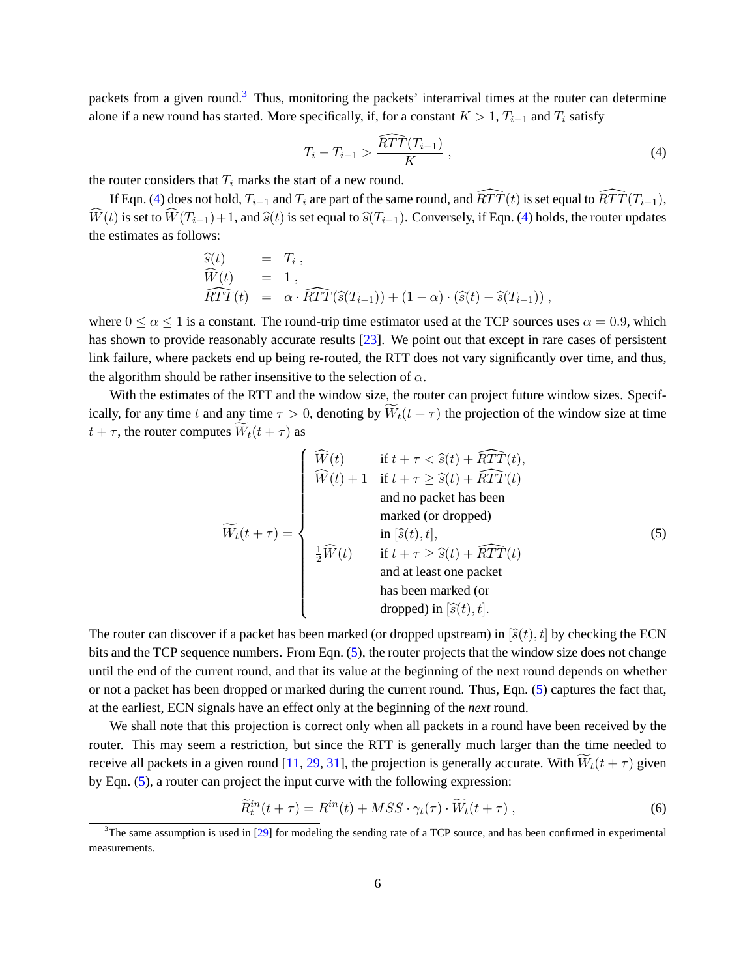packets from a given round.<sup>[3](#page-5-0)</sup> Thus, monitoring the packets' interarrival times at the router can determine alone if a new round has started. More specifically, if, for a constant  $K > 1$ ,  $T_{i-1}$  and  $T_i$  satisfy

<span id="page-5-1"></span>
$$
T_i - T_{i-1} > \frac{\widehat{RTT}(T_{i-1})}{K} \,,\tag{4}
$$

the router considers that  $T_i$  marks the start of a new round.

If Eqn. [\(4\)](#page-5-1) does not hold,  $T_{i-1}$  and  $T_i$  are part of the same round, and  $\widehat{RTT}(t)$  is set equal to  $\widehat{RTT}(T_{i-1})$ ,  $\widehat{W}(t)$  is set to  $\widehat{W}(T_{i-1})+1$ , and  $\widehat{s}(t)$  is set equal to  $\widehat{s}(T_{i-1})$ . Conversely, if Eqn. [\(4\)](#page-5-1) holds, the router updates the estimates as follows:

$$
\begin{array}{rcl}\n\widehat{s}(t) & = & T_i \,, \\
\widehat{W}(t) & = & 1 \,, \\
\widehat{RTT}(t) & = & \alpha \cdot \widehat{RTT}(\widehat{s}(T_{i-1})) + (1 - \alpha) \cdot (\widehat{s}(t) - \widehat{s}(T_{i-1})) \,,\n\end{array}
$$

where  $0 \le \alpha \le 1$  is a constant. The round-trip time estimator used at the TCP sources uses  $\alpha = 0.9$ , which has shown to provide reasonably accurate results [\[23\]](#page-19-2). We point out that except in rare cases of persistent link failure, where packets end up being re-routed, the RTT does not vary significantly over time, and thus, the algorithm should be rather insensitive to the selection of  $\alpha$ .

With the estimates of the RTT and the window size, the router can project future window sizes. Specifically, for any time t and any time  $\tau > 0$ , denoting by  $W_t(t + \tau)$  the projection of the window size at time  $t + \tau$ , the router computes  $\widetilde{W}_t(t + \tau)$  as

<span id="page-5-2"></span>
$$
\widetilde{W}_t(t+\tau) = \begin{cases}\n\widehat{W}(t) & \text{if } t + \tau < \widehat{s}(t) + \widehat{RTT}(t), \\
\widehat{W}(t) + 1 & \text{if } t + \tau \geq \widehat{s}(t) + \widehat{RTT}(t) \\
& \text{and no packet has been marked (or dropped)} \\
& \text{in } [\widehat{s}(t), t], \\
\frac{1}{2}\widehat{W}(t) & \text{if } t + \tau \geq \widehat{s}(t) + \widehat{RTT}(t) \\
& \text{and at least one packet} \\
& \text{has been marked (or dropped) in } [\widehat{s}(t), t].\n\end{cases}
$$
\n(5)

The router can discover if a packet has been marked (or dropped upstream) in  $[\hat{s}(t), t]$  by checking the ECN bits and the TCP sequence numbers. From Eqn. [\(5\)](#page-5-2), the router projects that the window size does not change until the end of the current round, and that its value at the beginning of the next round depends on whether or not a packet has been dropped or marked during the current round. Thus, Eqn. [\(5\)](#page-5-2) captures the fact that, at the earliest, ECN signals have an effect only at the beginning of the *next* round.

We shall note that this projection is correct only when all packets in a round have been received by the router. This may seem a restriction, but since the RTT is generally much larger than the time needed to receive all packets in a given round [\[11,](#page-18-12) [29,](#page-19-4) [31\]](#page-19-14), the projection is generally accurate. With  $\widetilde{W}_t(t + \tau)$  given by Eqn. [\(5\)](#page-5-2), a router can project the input curve with the following expression:

<span id="page-5-3"></span>
$$
\widetilde{R}_t^{in}(t+\tau) = R^{in}(t) + MSS \cdot \gamma_t(\tau) \cdot \widetilde{W}_t(t+\tau) , \qquad (6)
$$

<span id="page-5-0"></span> $3$ The same assumption is used in [\[29\]](#page-19-4) for modeling the sending rate of a TCP source, and has been confirmed in experimental measurements.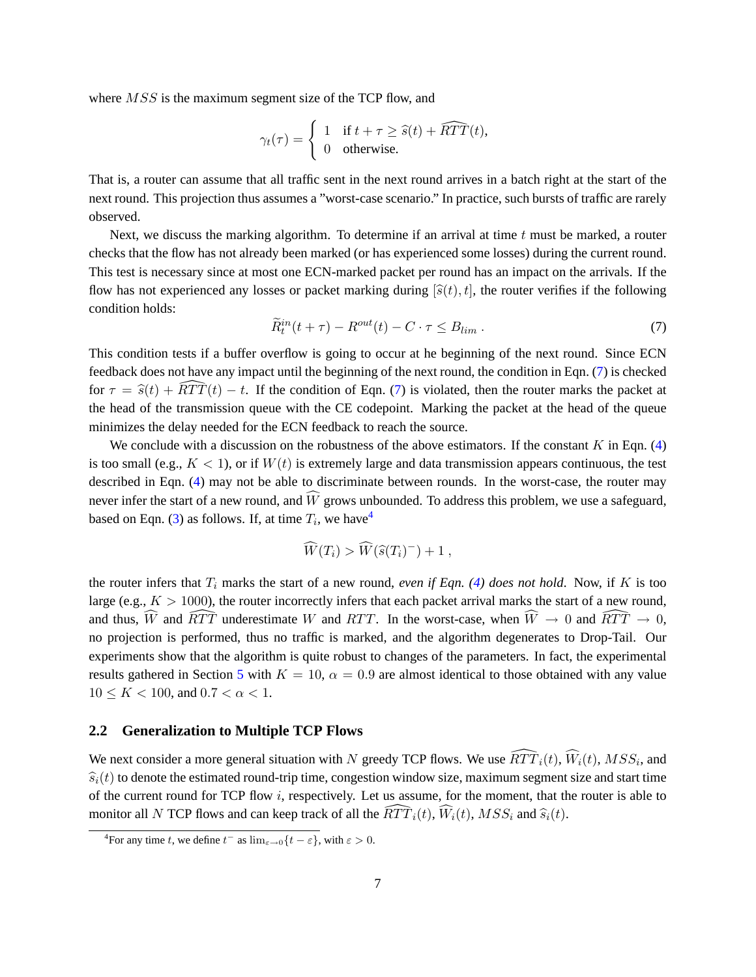where  $MSS$  is the maximum segment size of the TCP flow, and

$$
\gamma_t(\tau) = \begin{cases} 1 & \text{if } t + \tau \geq \widehat{s}(t) + \widehat{RTT}(t), \\ 0 & \text{otherwise.} \end{cases}
$$

That is, a router can assume that all traffic sent in the next round arrives in a batch right at the start of the next round. This projection thus assumes a "worst-case scenario." In practice, such bursts of traffic are rarely observed.

Next, we discuss the marking algorithm. To determine if an arrival at time  $t$  must be marked, a router checks that the flow has not already been marked (or has experienced some losses) during the current round. This test is necessary since at most one ECN-marked packet per round has an impact on the arrivals. If the flow has not experienced any losses or packet marking during  $[\hat{s}(t), t]$ , the router verifies if the following condition holds:

<span id="page-6-0"></span>
$$
\widetilde{R}_t^{in}(t+\tau) - R^{out}(t) - C \cdot \tau \leq B_{lim} \,. \tag{7}
$$

This condition tests if a buffer overflow is going to occur at he beginning of the next round. Since ECN feedback does not have any impact until the beginning of the next round, the condition in Eqn. [\(7\)](#page-6-0) is checked for  $\tau = \hat{s}(t) + \hat{R}T\hat{T}(t) - t$ . If the condition of Eqn. [\(7\)](#page-6-0) is violated, then the router marks the packet at the head of the transmission queue with the CE codepoint. Marking the packet at the head of the queue minimizes the delay needed for the ECN feedback to reach the source.

We conclude with a discussion on the robustness of the above estimators. If the constant K in Eqn. [\(4\)](#page-5-1) is too small (e.g.,  $K < 1$ ), or if  $W(t)$  is extremely large and data transmission appears continuous, the test described in Eqn. [\(4\)](#page-5-1) may not be able to discriminate between rounds. In the worst-case, the router may never infer the start of a new round, and  $\widehat{W}$  grows unbounded. To address this problem, we use a safeguard, based on Eqn. [\(3\)](#page-4-1) as follows. If, at time  $T_i$ , we have<sup>[4](#page-6-1)</sup>

$$
\widehat{W}(T_i) > \widehat{W}(\widehat{s}(T_i)^-) + 1 ,
$$

the router infers that  $T_i$  marks the start of a new round, *even if Eqn.* [\(4\)](#page-5-1) does not hold. Now, if K is too large (e.g.,  $K > 1000$ ), the router incorrectly infers that each packet arrival marks the start of a new round, and thus,  $\widehat{W}$  and  $\widehat{RTT}$  underestimate W and RTT. In the worst-case, when  $\widehat{W} \to 0$  and  $\widehat{RTT} \to 0$ , no projection is performed, thus no traffic is marked, and the algorithm degenerates to Drop-Tail. Our experiments show that the algorithm is quite robust to changes of the parameters. In fact, the experimental results gathered in Section [5](#page-11-0) with  $K = 10$ ,  $\alpha = 0.9$  are almost identical to those obtained with any value  $10 \leq K < 100$ , and  $0.7 < \alpha < 1$ .

#### **2.2 Generalization to Multiple TCP Flows**

We next consider a more general situation with N greedy TCP flows. We use  $\widehat{RTT}_i(t)$ ,  $\widehat{W}_i(t)$ ,  $MSS_i$ , and  $\hat{s}_i(t)$  to denote the estimated round-trip time, congestion window size, maximum segment size and start time of the current round for TCP flow  $i$ , respectively. Let us assume, for the moment, that the router is able to monitor all N TCP flows and can keep track of all the  $\widehat{RTT}_i(t)$ ,  $\widehat{W}_i(t)$ ,  $MSS_i$  and  $\widehat{s}_i(t)$ .

<span id="page-6-1"></span><sup>&</sup>lt;sup>4</sup>For any time t, we define  $t^-$  as  $\lim_{\varepsilon \to 0} \{t - \varepsilon\}$ , with  $\varepsilon > 0$ .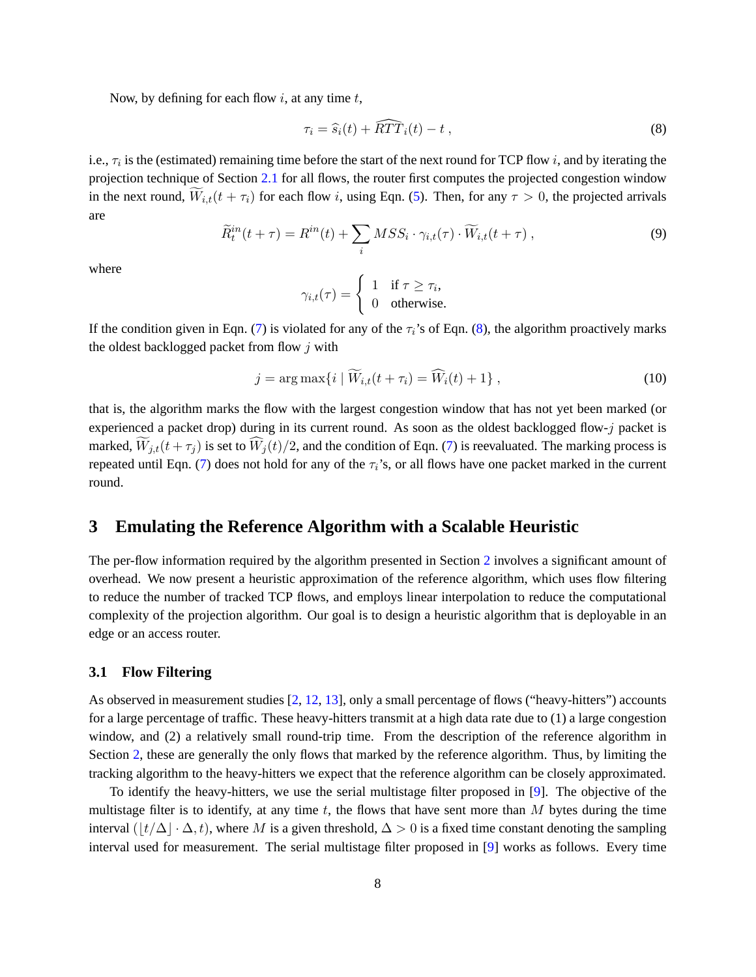Now, by defining for each flow  $i$ , at any time  $t$ ,

<span id="page-7-1"></span>
$$
\tau_i = \widehat{s}_i(t) + \widehat{RTT}_i(t) - t \,, \tag{8}
$$

<span id="page-7-2"></span>i.e.,  $\tau_i$  is the (estimated) remaining time before the start of the next round for TCP flow i, and by iterating the projection technique of Section [2.1](#page-3-3) for all flows, the router first computes the projected congestion window in the next round,  $\overline{W}_{i,t}(t + \tau_i)$  for each flow i, using Eqn. [\(5\)](#page-5-2). Then, for any  $\tau > 0$ , the projected arrivals are

$$
\widetilde{R}_t^{in}(t+\tau) = R^{in}(t) + \sum_i MSS_i \cdot \gamma_{i,t}(\tau) \cdot \widetilde{W}_{i,t}(t+\tau) , \qquad (9)
$$

where

$$
\gamma_{i,t}(\tau) = \begin{cases} 1 & \text{if } \tau \geq \tau_i, \\ 0 & \text{otherwise.} \end{cases}
$$

If the condition given in Eqn. [\(7\)](#page-6-0) is violated for any of the  $\tau_i$ 's of Eqn. [\(8\)](#page-7-1), the algorithm proactively marks the oldest backlogged packet from flow  $j$  with

$$
j = \arg \max \{ i \mid \widetilde{W}_{i,t}(t + \tau_i) = \widehat{W}_i(t) + 1 \}, \tag{10}
$$

that is, the algorithm marks the flow with the largest congestion window that has not yet been marked (or experienced a packet drop) during in its current round. As soon as the oldest backlogged flow-j packet is marked,  $W_{j,t}(t + \tau_j)$  is set to  $W_j(t)/2$ , and the condition of Eqn. [\(7\)](#page-6-0) is reevaluated. The marking process is repeated until Eqn. [\(7\)](#page-6-0) does not hold for any of the  $\tau_i$ 's, or all flows have one packet marked in the current round.

## <span id="page-7-0"></span>**3 Emulating the Reference Algorithm with a Scalable Heuristic**

The per-flow information required by the algorithm presented in Section [2](#page-2-0) involves a significant amount of overhead. We now present a heuristic approximation of the reference algorithm, which uses flow filtering to reduce the number of tracked TCP flows, and employs linear interpolation to reduce the computational complexity of the projection algorithm. Our goal is to design a heuristic algorithm that is deployable in an edge or an access router.

### **3.1 Flow Filtering**

As observed in measurement studies [\[2,](#page-18-9) [12,](#page-18-10) [13\]](#page-18-11), only a small percentage of flows ("heavy-hitters") accounts for a large percentage of traffic. These heavy-hitters transmit at a high data rate due to (1) a large congestion window, and (2) a relatively small round-trip time. From the description of the reference algorithm in Section [2,](#page-2-0) these are generally the only flows that marked by the reference algorithm. Thus, by limiting the tracking algorithm to the heavy-hitters we expect that the reference algorithm can be closely approximated.

To identify the heavy-hitters, we use the serial multistage filter proposed in [\[9\]](#page-18-13). The objective of the multistage filter is to identify, at any time  $t$ , the flows that have sent more than  $M$  bytes during the time interval  $(t/\Delta \cdot \Delta, t)$ , where M is a given threshold,  $\Delta > 0$  is a fixed time constant denoting the sampling interval used for measurement. The serial multistage filter proposed in [\[9\]](#page-18-13) works as follows. Every time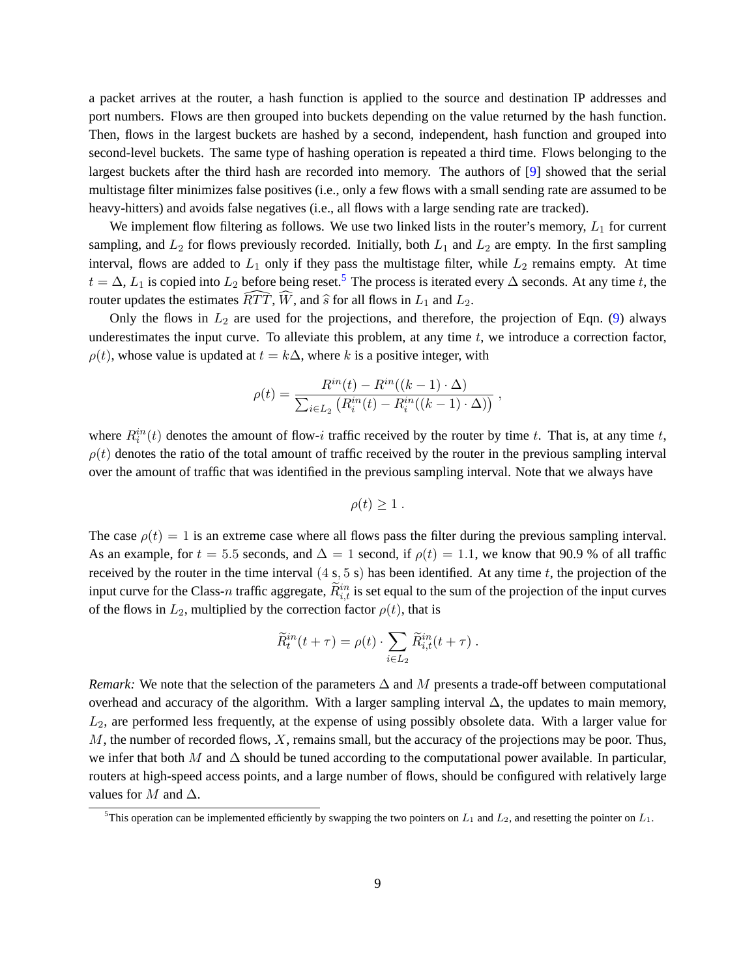a packet arrives at the router, a hash function is applied to the source and destination IP addresses and port numbers. Flows are then grouped into buckets depending on the value returned by the hash function. Then, flows in the largest buckets are hashed by a second, independent, hash function and grouped into second-level buckets. The same type of hashing operation is repeated a third time. Flows belonging to the largest buckets after the third hash are recorded into memory. The authors of [\[9\]](#page-18-13) showed that the serial multistage filter minimizes false positives (i.e., only a few flows with a small sending rate are assumed to be heavy-hitters) and avoids false negatives (i.e., all flows with a large sending rate are tracked).

We implement flow filtering as follows. We use two linked lists in the router's memory,  $L_1$  for current sampling, and  $L_2$  for flows previously recorded. Initially, both  $L_1$  and  $L_2$  are empty. In the first sampling interval, flows are added to  $L_1$  only if they pass the multistage filter, while  $L_2$  remains empty. At time  $t = \Delta$ ,  $L_1$  is copied into  $L_2$  before being reset.<sup>[5](#page-8-0)</sup> The process is iterated every  $\Delta$  seconds. At any time t, the router updates the estimates  $\widehat{RTT}$ ,  $\widehat{W}$ , and  $\widehat{s}$  for all flows in  $L_1$  and  $L_2$ .

Only the flows in  $L_2$  are used for the projections, and therefore, the projection of Eqn. [\(9\)](#page-7-2) always underestimates the input curve. To alleviate this problem, at any time  $t$ , we introduce a correction factor,  $\rho(t)$ , whose value is updated at  $t = k\Delta$ , where k is a positive integer, with

$$
\rho(t) = \frac{R^{in}(t) - R^{in}((k-1) \cdot \Delta)}{\sum_{i \in L_2} (R_i^{in}(t) - R_i^{in}((k-1) \cdot \Delta))},
$$

where  $R_i^{in}(t)$  denotes the amount of flow-*i* traffic received by the router by time t. That is, at any time t,  $\rho(t)$  denotes the ratio of the total amount of traffic received by the router in the previous sampling interval over the amount of traffic that was identified in the previous sampling interval. Note that we always have

$$
\rho(t) \geq 1.
$$

The case  $\rho(t) = 1$  is an extreme case where all flows pass the filter during the previous sampling interval. As an example, for  $t = 5.5$  seconds, and  $\Delta = 1$  second, if  $\rho(t) = 1.1$ , we know that 90.9 % of all traffic received by the router in the time interval  $(4 s, 5 s)$  has been identified. At any time t, the projection of the input curve for the Class-n traffic aggregate,  $\tilde{R}_{i,t}^{in}$  is set equal to the sum of the projection of the input curves of the flows in  $L_2$ , multiplied by the correction factor  $\rho(t)$ , that is

$$
\widetilde{R}^{in}_t(t+\tau) = \rho(t) \cdot \sum_{i \in L_2} \widetilde{R}^{in}_{i,t}(t+\tau) .
$$

*Remark:* We note that the selection of the parameters  $\Delta$  and M presents a trade-off between computational overhead and accuracy of the algorithm. With a larger sampling interval  $\Delta$ , the updates to main memory,  $L_2$ , are performed less frequently, at the expense of using possibly obsolete data. With a larger value for  $M$ , the number of recorded flows,  $X$ , remains small, but the accuracy of the projections may be poor. Thus, we infer that both M and  $\Delta$  should be tuned according to the computational power available. In particular, routers at high-speed access points, and a large number of flows, should be configured with relatively large values for M and  $\Delta$ .

<span id="page-8-0"></span><sup>&</sup>lt;sup>5</sup>This operation can be implemented efficiently by swapping the two pointers on  $L_1$  and  $L_2$ , and resetting the pointer on  $L_1$ .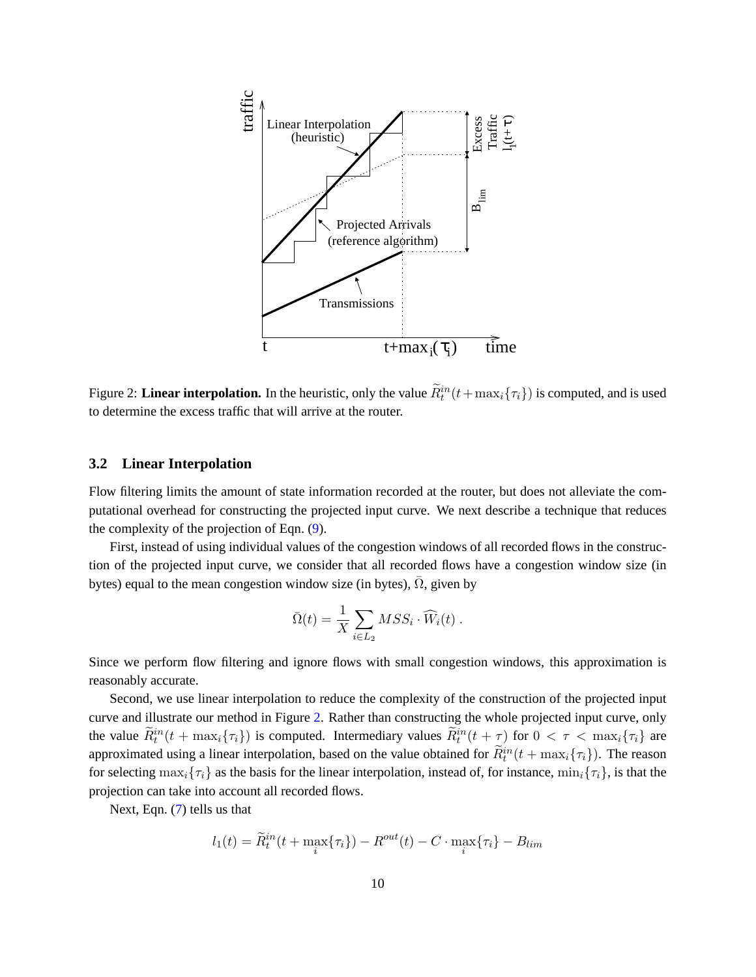

<span id="page-9-0"></span>Figure 2: **Linear interpolation.** In the heuristic, only the value  $\tilde{R}^{in}_t(t + \max_i{\lbrace \tau_i \rbrace})$  is computed, and is used to determine the excess traffic that will arrive at the router.

#### **3.2 Linear Interpolation**

Flow filtering limits the amount of state information recorded at the router, but does not alleviate the computational overhead for constructing the projected input curve. We next describe a technique that reduces the complexity of the projection of Eqn. [\(9\)](#page-7-2).

First, instead of using individual values of the congestion windows of all recorded flows in the construction of the projected input curve, we consider that all recorded flows have a congestion window size (in bytes) equal to the mean congestion window size (in bytes),  $\overline{\Omega}$ , given by

$$
\bar{\Omega}(t) = \frac{1}{X} \sum_{i \in L_2} MSS_i \cdot \widehat{W}_i(t) .
$$

Since we perform flow filtering and ignore flows with small congestion windows, this approximation is reasonably accurate.

Second, we use linear interpolation to reduce the complexity of the construction of the projected input curve and illustrate our method in Figure [2.](#page-9-0) Rather than constructing the whole projected input curve, only the value  $\widetilde{R}_t^{in}(t + \max_i \{\tau_i\})$  is computed. Intermediary values  $\widetilde{R}_t^{in}(t + \tau)$  for  $0 < \tau < \max_i \{\tau_i\}$  are approximated using a linear interpolation, based on the value obtained for  $\tilde{R}^{in}_t(t + \max_i {\{\tau_i\}})$ . The reason for selecting  $\max_i {\tau_i}$  as the basis for the linear interpolation, instead of, for instance,  $\min_i {\tau_i}$ , is that the projection can take into account all recorded flows.

Next, Eqn. [\(7\)](#page-6-0) tells us that

$$
l_1(t) = \widetilde{R}_t^{in}(t + \max_i\{\tau_i\}) - R^{out}(t) - C \cdot \max_i\{\tau_i\} - B_{lim}
$$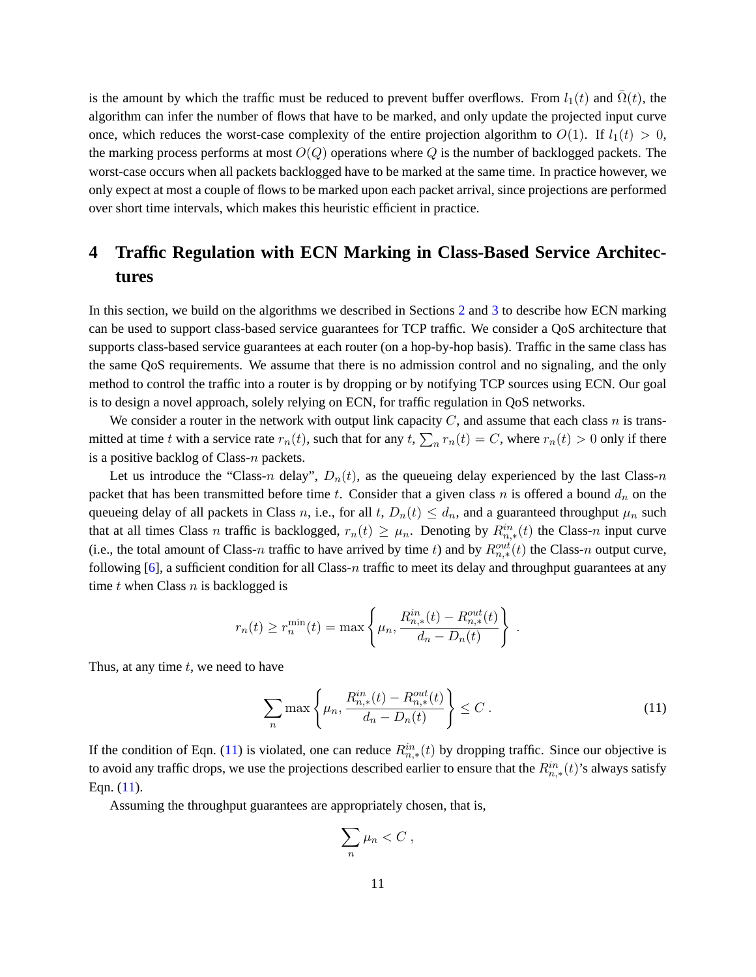is the amount by which the traffic must be reduced to prevent buffer overflows. From  $l_1(t)$  and  $\Omega(t)$ , the algorithm can infer the number of flows that have to be marked, and only update the projected input curve once, which reduces the worst-case complexity of the entire projection algorithm to  $O(1)$ . If  $l_1(t) > 0$ , the marking process performs at most  $O(Q)$  operations where Q is the number of backlogged packets. The worst-case occurs when all packets backlogged have to be marked at the same time. In practice however, we only expect at most a couple of flows to be marked upon each packet arrival, since projections are performed over short time intervals, which makes this heuristic efficient in practice.

# <span id="page-10-0"></span>**4 Traffic Regulation with ECN Marking in Class-Based Service Architectures**

In this section, we build on the algorithms we described in Sections [2](#page-2-0) and [3](#page-7-0) to describe how ECN marking can be used to support class-based service guarantees for TCP traffic. We consider a QoS architecture that supports class-based service guarantees at each router (on a hop-by-hop basis). Traffic in the same class has the same QoS requirements. We assume that there is no admission control and no signaling, and the only method to control the traffic into a router is by dropping or by notifying TCP sources using ECN. Our goal is to design a novel approach, solely relying on ECN, for traffic regulation in QoS networks.

We consider a router in the network with output link capacity  $C$ , and assume that each class  $n$  is transmitted at time t with a service rate  $r_n(t)$ , such that for any  $t$ ,  $\sum_n r_n(t) = C$ , where  $r_n(t) > 0$  only if there is a positive backlog of Class-n packets.

Let us introduce the "Class-n delay",  $D_n(t)$ , as the queueing delay experienced by the last Class-n packet that has been transmitted before time t. Consider that a given class n is offered a bound  $d_n$  on the queueing delay of all packets in Class n, i.e., for all t,  $D_n(t) \leq d_n$ , and a guaranteed throughput  $\mu_n$  such that at all times Class n traffic is backlogged,  $r_n(t) \geq \mu_n$ . Denoting by  $R_{n,*}^{in}(t)$  the Class-n input curve (i.e., the total amount of Class-n traffic to have arrived by time t) and by  $R_{n,*}^{out}(t)$  the Class-n output curve, following  $[6]$ , a sufficient condition for all Class-n traffic to meet its delay and throughput guarantees at any time  $t$  when Class  $n$  is backlogged is

$$
r_n(t) \ge r_n^{\min}(t) = \max \left\{ \mu_n, \frac{R_{n,*}^{in}(t) - R_{n,*}^{out}(t)}{d_n - D_n(t)} \right\}
$$

Thus, at any time  $t$ , we need to have

<span id="page-10-1"></span>
$$
\sum_{n} \max \left\{ \mu_n, \frac{R_{n,*}^{in}(t) - R_{n,*}^{out}(t)}{d_n - D_n(t)} \right\} \le C \,. \tag{11}
$$

.

If the condition of Eqn. [\(11\)](#page-10-1) is violated, one can reduce  $R_{n,*}^{in}(t)$  by dropping traffic. Since our objective is to avoid any traffic drops, we use the projections described earlier to ensure that the  $R_{n,*}^{in}(t)$ 's always satisfy Eqn. [\(11\)](#page-10-1).

Assuming the throughput guarantees are appropriately chosen, that is,

$$
\sum_n \mu_n < C \;,
$$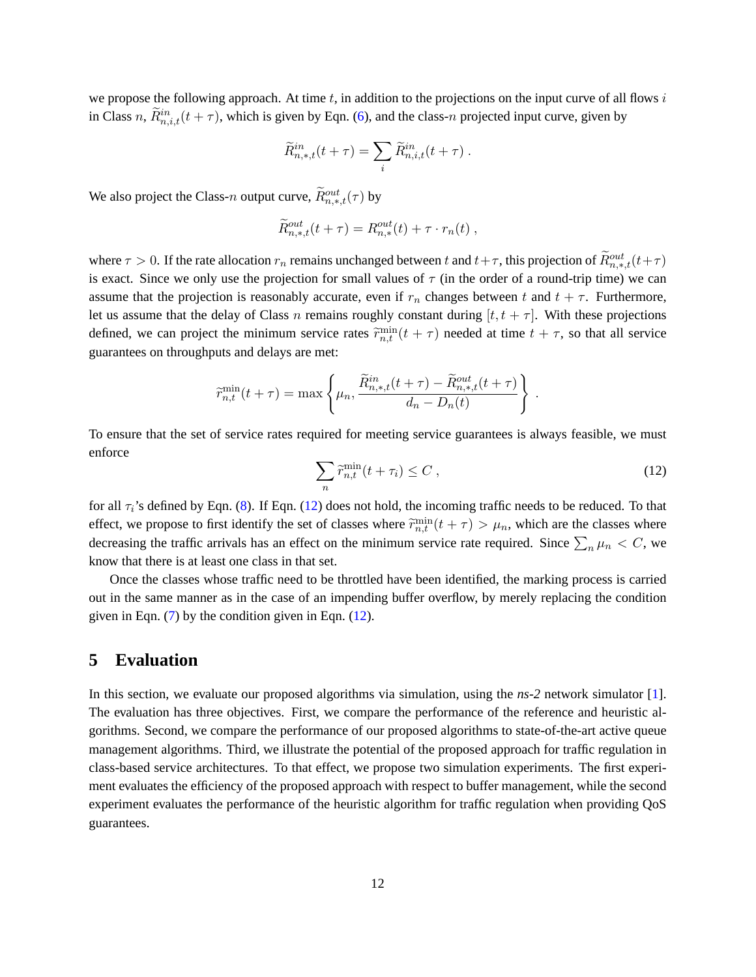we propose the following approach. At time  $t$ , in addition to the projections on the input curve of all flows  $i$ in Class  $n$ ,  $\widetilde{R}_{n,i,t}^{in}(t + \tau)$ , which is given by Eqn. [\(6\)](#page-5-3), and the class-n projected input curve, given by

$$
\widetilde{R}^{in}_{n,*,t}(t+\tau) = \sum_i \widetilde{R}^{in}_{n,i,t}(t+\tau) .
$$

We also project the Class-n output curve,  $\widetilde{R}_{n,*,t}^{out}(\tau)$  by

$$
\widetilde{R}_{n,*,t}^{out}(t+\tau) = R_{n,*}^{out}(t) + \tau \cdot r_n(t) ,
$$

where  $\tau > 0$ . If the rate allocation  $r_n$  remains unchanged between t and  $t+\tau$ , this projection of  $\tilde{R}_{n,*,t}^{out}(t+\tau)$ is exact. Since we only use the projection for small values of  $\tau$  (in the order of a round-trip time) we can assume that the projection is reasonably accurate, even if  $r_n$  changes between t and  $t + \tau$ . Furthermore, let us assume that the delay of Class n remains roughly constant during  $[t, t + \tau]$ . With these projections defined, we can project the minimum service rates  $\tilde{r}_{n,t}^{\min}(t + \tau)$  needed at time  $t + \tau$ , so that all service guarantees on throughputs and delays are met:

$$
\widetilde{r}_{n,t}^{\min}(t+\tau) = \max\left\{\mu_n, \frac{\widetilde{R}_{n,*,t}^{in}(t+\tau) - \widetilde{R}_{n,*,t}^{out}(t+\tau)}{d_n - D_n(t)}\right\}.
$$

<span id="page-11-1"></span>To ensure that the set of service rates required for meeting service guarantees is always feasible, we must enforce

$$
\sum_{n} \tilde{r}^{\min}_{n,t} (t + \tau_i) \le C \,, \tag{12}
$$

for all  $\tau_i$ 's defined by Eqn. [\(8\)](#page-7-1). If Eqn. [\(12\)](#page-11-1) does not hold, the incoming traffic needs to be reduced. To that effect, we propose to first identify the set of classes where  $\tilde{r}_{n,t}^{\min}(t + \tau) > \mu_n$ , which are the classes where decreasing the traffic arrivals has an effect on the minimum service rate required. Since  $\sum_n \mu_n < C$ , we know that there is at least one class in that set.

Once the classes whose traffic need to be throttled have been identified, the marking process is carried out in the same manner as in the case of an impending buffer overflow, by merely replacing the condition given in Eqn.  $(7)$  by the condition given in Eqn.  $(12)$ .

# <span id="page-11-0"></span>**5 Evaluation**

In this section, we evaluate our proposed algorithms via simulation, using the *ns-2* network simulator [\[1\]](#page-18-14). The evaluation has three objectives. First, we compare the performance of the reference and heuristic algorithms. Second, we compare the performance of our proposed algorithms to state-of-the-art active queue management algorithms. Third, we illustrate the potential of the proposed approach for traffic regulation in class-based service architectures. To that effect, we propose two simulation experiments. The first experiment evaluates the efficiency of the proposed approach with respect to buffer management, while the second experiment evaluates the performance of the heuristic algorithm for traffic regulation when providing QoS guarantees.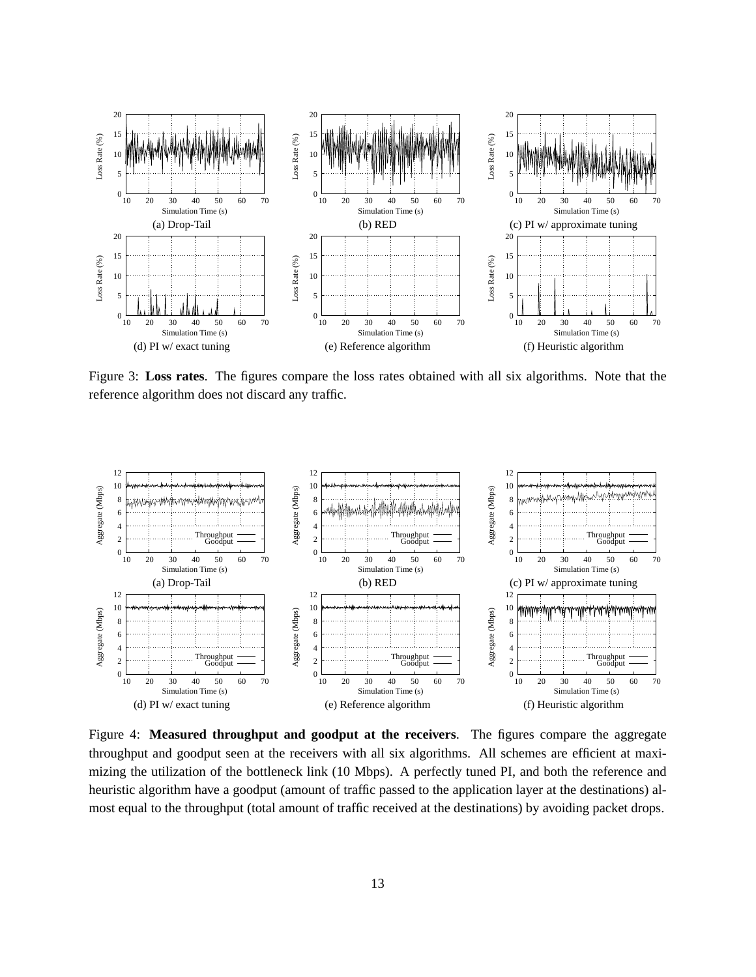

<span id="page-12-0"></span>Figure 3: **Loss rates**. The figures compare the loss rates obtained with all six algorithms. Note that the reference algorithm does not discard any traffic.



<span id="page-12-1"></span>Figure 4: **Measured throughput and goodput at the receivers**. The figures compare the aggregate throughput and goodput seen at the receivers with all six algorithms. All schemes are efficient at maximizing the utilization of the bottleneck link (10 Mbps). A perfectly tuned PI, and both the reference and heuristic algorithm have a goodput (amount of traffic passed to the application layer at the destinations) almost equal to the throughput (total amount of traffic received at the destinations) by avoiding packet drops.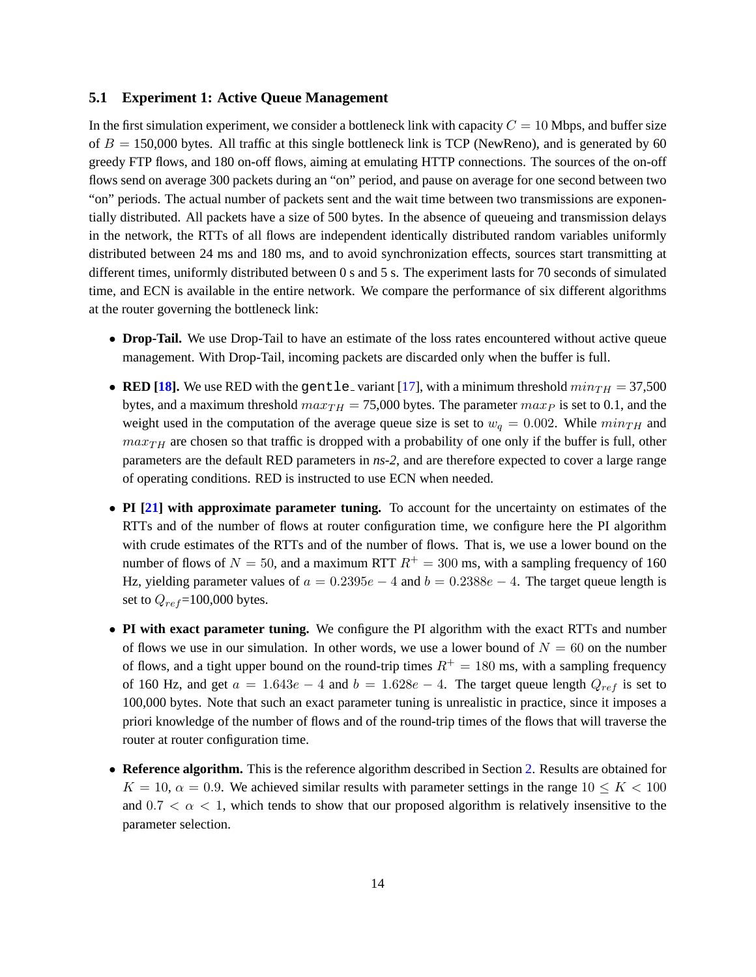#### **5.1 Experiment 1: Active Queue Management**

In the first simulation experiment, we consider a bottleneck link with capacity  $C = 10$  Mbps, and buffer size of  $B = 150,000$  bytes. All traffic at this single bottleneck link is TCP (NewReno), and is generated by 60 greedy FTP flows, and 180 on-off flows, aiming at emulating HTTP connections. The sources of the on-off flows send on average 300 packets during an "on" period, and pause on average for one second between two "on" periods. The actual number of packets sent and the wait time between two transmissions are exponentially distributed. All packets have a size of 500 bytes. In the absence of queueing and transmission delays in the network, the RTTs of all flows are independent identically distributed random variables uniformly distributed between 24 ms and 180 ms, and to avoid synchronization effects, sources start transmitting at different times, uniformly distributed between 0 s and 5 s. The experiment lasts for 70 seconds of simulated time, and ECN is available in the entire network. We compare the performance of six different algorithms at the router governing the bottleneck link:

- **Drop-Tail.** We use Drop-Tail to have an estimate of the loss rates encountered without active queue management. With Drop-Tail, incoming packets are discarded only when the buffer is full.
- **RED** [\[18\]](#page-19-6). We use RED with the gentle variant [\[17\]](#page-19-16), with a minimum threshold  $min_{TH} = 37,500$ bytes, and a maximum threshold  $max_{TH} = 75,000$  bytes. The parameter  $max_{F}$  is set to 0.1, and the weight used in the computation of the average queue size is set to  $w_q = 0.002$ . While  $min_{TH}$  and  $max_{TH}$  are chosen so that traffic is dropped with a probability of one only if the buffer is full, other parameters are the default RED parameters in *ns-2*, and are therefore expected to cover a large range of operating conditions. RED is instructed to use ECN when needed.
- **PI [\[21\]](#page-19-8)** with approximate parameter tuning. To account for the uncertainty on estimates of the RTTs and of the number of flows at router configuration time, we configure here the PI algorithm with crude estimates of the RTTs and of the number of flows. That is, we use a lower bound on the number of flows of  $N = 50$ , and a maximum RTT  $R<sup>+</sup> = 300$  ms, with a sampling frequency of 160 Hz, yielding parameter values of  $a = 0.2395e - 4$  and  $b = 0.2388e - 4$ . The target queue length is set to  $Q_{ref}$ =100,000 bytes.
- **PI with exact parameter tuning.** We configure the PI algorithm with the exact RTTs and number of flows we use in our simulation. In other words, we use a lower bound of  $N = 60$  on the number of flows, and a tight upper bound on the round-trip times  $R^+ = 180$  ms, with a sampling frequency of 160 Hz, and get  $a = 1.643e - 4$  and  $b = 1.628e - 4$ . The target queue length  $Q_{ref}$  is set to 100,000 bytes. Note that such an exact parameter tuning is unrealistic in practice, since it imposes a priori knowledge of the number of flows and of the round-trip times of the flows that will traverse the router at router configuration time.
- **Reference algorithm.** This is the reference algorithm described in Section [2.](#page-2-0) Results are obtained for  $K = 10, \alpha = 0.9$ . We achieved similar results with parameter settings in the range  $10 \leq K < 100$ and  $0.7 < \alpha < 1$ , which tends to show that our proposed algorithm is relatively insensitive to the parameter selection.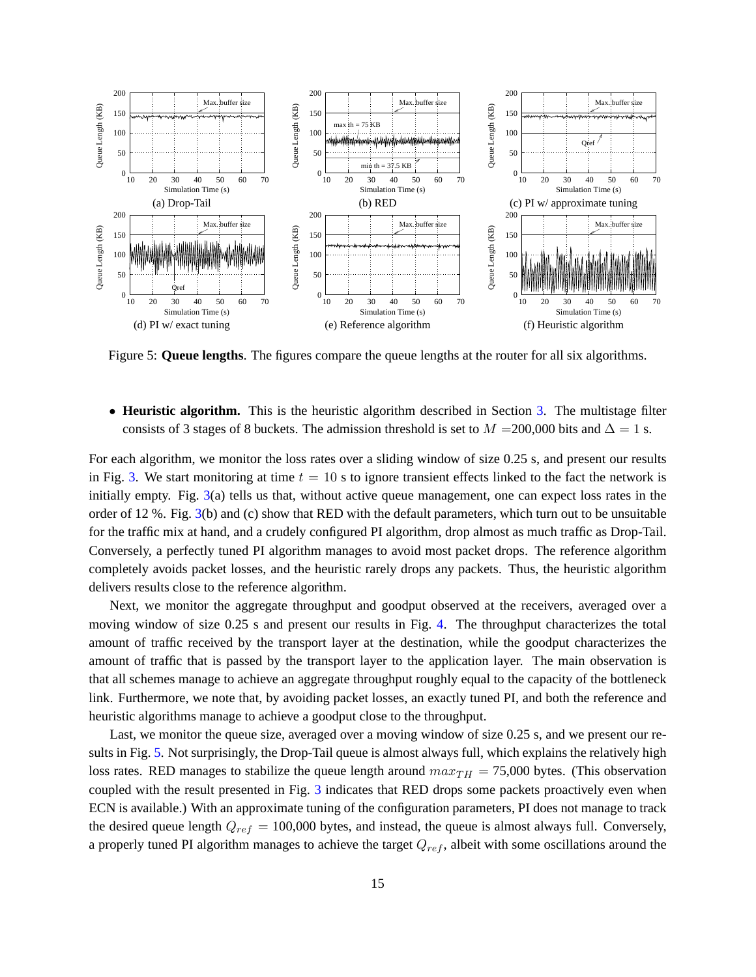

<span id="page-14-0"></span>Figure 5: **Queue lengths**. The figures compare the queue lengths at the router for all six algorithms.

• **Heuristic algorithm.** This is the heuristic algorithm described in Section [3.](#page-7-0) The multistage filter consists of 3 stages of 8 buckets. The admission threshold is set to  $M = 200,000$  bits and  $\Delta = 1$  s.

For each algorithm, we monitor the loss rates over a sliding window of size 0.25 s, and present our results in Fig. [3.](#page-12-0) We start monitoring at time  $t = 10$  s to ignore transient effects linked to the fact the network is initially empty. Fig. [3\(](#page-12-0)a) tells us that, without active queue management, one can expect loss rates in the order of 12 %. Fig. [3\(](#page-12-0)b) and (c) show that RED with the default parameters, which turn out to be unsuitable for the traffic mix at hand, and a crudely configured PI algorithm, drop almost as much traffic as Drop-Tail. Conversely, a perfectly tuned PI algorithm manages to avoid most packet drops. The reference algorithm completely avoids packet losses, and the heuristic rarely drops any packets. Thus, the heuristic algorithm delivers results close to the reference algorithm.

Next, we monitor the aggregate throughput and goodput observed at the receivers, averaged over a moving window of size 0.25 s and present our results in Fig. [4.](#page-12-1) The throughput characterizes the total amount of traffic received by the transport layer at the destination, while the goodput characterizes the amount of traffic that is passed by the transport layer to the application layer. The main observation is that all schemes manage to achieve an aggregate throughput roughly equal to the capacity of the bottleneck link. Furthermore, we note that, by avoiding packet losses, an exactly tuned PI, and both the reference and heuristic algorithms manage to achieve a goodput close to the throughput.

Last, we monitor the queue size, averaged over a moving window of size 0.25 s, and we present our results in Fig. [5.](#page-14-0) Not surprisingly, the Drop-Tail queue is almost always full, which explains the relatively high loss rates. RED manages to stabilize the queue length around  $max_{TH} = 75,000$  bytes. (This observation coupled with the result presented in Fig. [3](#page-12-0) indicates that RED drops some packets proactively even when ECN is available.) With an approximate tuning of the configuration parameters, PI does not manage to track the desired queue length  $Q_{ref} = 100,000$  bytes, and instead, the queue is almost always full. Conversely, a properly tuned PI algorithm manages to achieve the target  $Q_{ref}$ , albeit with some oscillations around the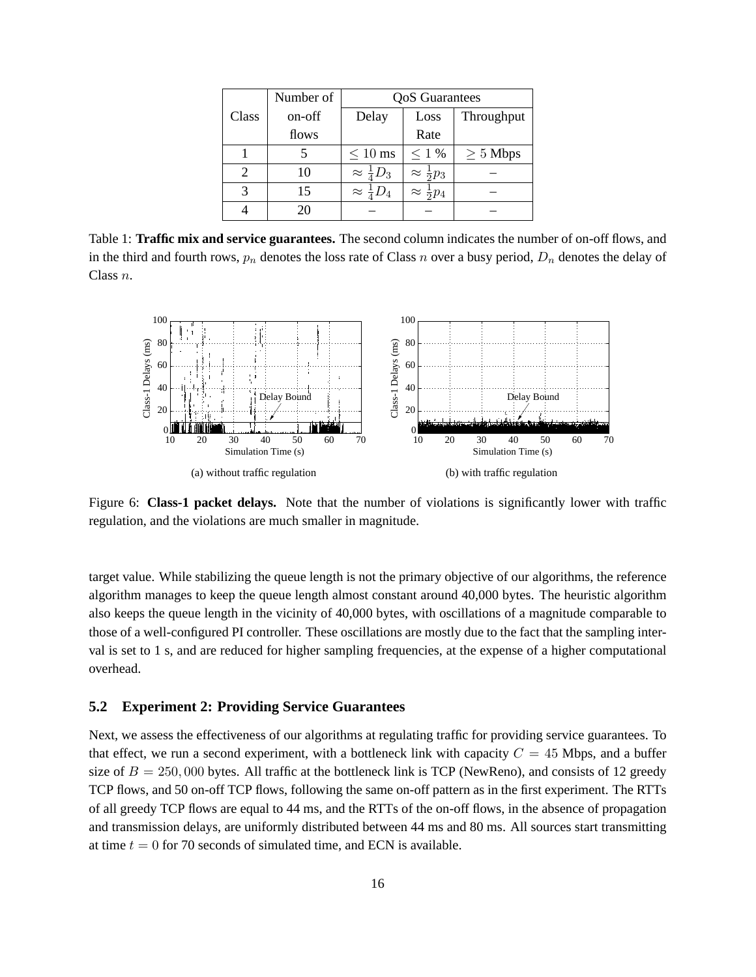|       | Number of |                          | <b>QoS</b> Guarantees    |               |  |
|-------|-----------|--------------------------|--------------------------|---------------|--|
| Class | on-off    | Delay                    | Loss                     | Throughput    |  |
|       | flows     |                          | Rate                     |               |  |
|       |           | $\leq 10$ ms             | $\leq 1\%$               | $\geq 5$ Mbps |  |
| 2     | 10        | $\approx \frac{1}{4}D_3$ | $\approx \frac{1}{2}p_3$ |               |  |
| 3     | 15        | $\approx \frac{1}{4}D_4$ | $\approx \frac{1}{2}p_4$ |               |  |
|       | 20        |                          |                          |               |  |

<span id="page-15-0"></span>Table 1: **Traffic mix and service guarantees.** The second column indicates the number of on-off flows, and in the third and fourth rows,  $p_n$  denotes the loss rate of Class n over a busy period,  $D_n$  denotes the delay of Class n.



<span id="page-15-1"></span>Figure 6: **Class-1 packet delays.** Note that the number of violations is significantly lower with traffic regulation, and the violations are much smaller in magnitude.

target value. While stabilizing the queue length is not the primary objective of our algorithms, the reference algorithm manages to keep the queue length almost constant around 40,000 bytes. The heuristic algorithm also keeps the queue length in the vicinity of 40,000 bytes, with oscillations of a magnitude comparable to those of a well-configured PI controller. These oscillations are mostly due to the fact that the sampling interval is set to 1 s, and are reduced for higher sampling frequencies, at the expense of a higher computational overhead.

#### **5.2 Experiment 2: Providing Service Guarantees**

Next, we assess the effectiveness of our algorithms at regulating traffic for providing service guarantees. To that effect, we run a second experiment, with a bottleneck link with capacity  $C = 45$  Mbps, and a buffer size of  $B = 250,000$  bytes. All traffic at the bottleneck link is TCP (NewReno), and consists of 12 greedy TCP flows, and 50 on-off TCP flows, following the same on-off pattern as in the first experiment. The RTTs of all greedy TCP flows are equal to 44 ms, and the RTTs of the on-off flows, in the absence of propagation and transmission delays, are uniformly distributed between 44 ms and 80 ms. All sources start transmitting at time  $t = 0$  for 70 seconds of simulated time, and ECN is available.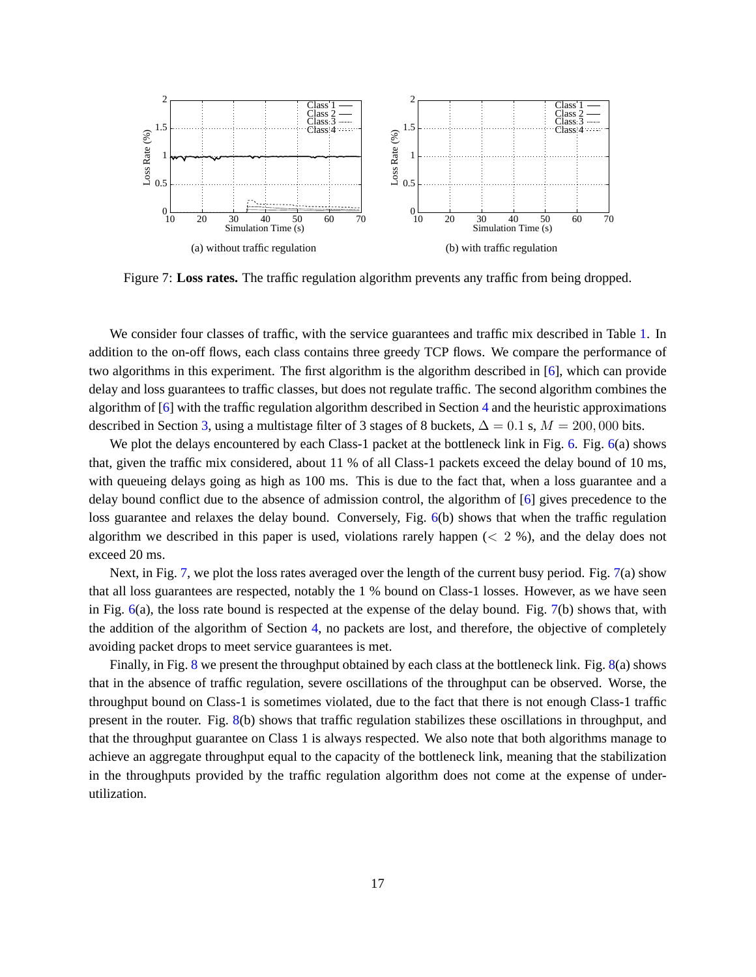

<span id="page-16-0"></span>Figure 7: **Loss rates.** The traffic regulation algorithm prevents any traffic from being dropped.

We consider four classes of traffic, with the service guarantees and traffic mix described in Table [1.](#page-15-0) In addition to the on-off flows, each class contains three greedy TCP flows. We compare the performance of two algorithms in this experiment. The first algorithm is the algorithm described in [\[6\]](#page-18-1), which can provide delay and loss guarantees to traffic classes, but does not regulate traffic. The second algorithm combines the algorithm of [\[6\]](#page-18-1) with the traffic regulation algorithm described in Section [4](#page-10-0) and the heuristic approximations described in Section [3,](#page-7-0) using a multistage filter of 3 stages of 8 buckets,  $\Delta = 0.1$  s,  $M = 200,000$  bits.

We plot the delays encountered by each Class-1 packet at the bottleneck link in Fig. [6.](#page-15-1) Fig. [6\(](#page-15-1)a) shows that, given the traffic mix considered, about 11 % of all Class-1 packets exceed the delay bound of 10 ms, with queueing delays going as high as 100 ms. This is due to the fact that, when a loss guarantee and a delay bound conflict due to the absence of admission control, the algorithm of [\[6\]](#page-18-1) gives precedence to the loss guarantee and relaxes the delay bound. Conversely, Fig. [6\(](#page-15-1)b) shows that when the traffic regulation algorithm we described in this paper is used, violations rarely happen  $(< 2 \%)$ , and the delay does not exceed 20 ms.

Next, in Fig. [7,](#page-16-0) we plot the loss rates averaged over the length of the current busy period. Fig. [7\(](#page-16-0)a) show that all loss guarantees are respected, notably the 1 % bound on Class-1 losses. However, as we have seen in Fig. [6\(](#page-15-1)a), the loss rate bound is respected at the expense of the delay bound. Fig. [7\(](#page-16-0)b) shows that, with the addition of the algorithm of Section [4,](#page-10-0) no packets are lost, and therefore, the objective of completely avoiding packet drops to meet service guarantees is met.

Finally, in Fig. [8](#page-17-1) we present the throughput obtained by each class at the bottleneck link. Fig. [8\(](#page-17-1)a) shows that in the absence of traffic regulation, severe oscillations of the throughput can be observed. Worse, the throughput bound on Class-1 is sometimes violated, due to the fact that there is not enough Class-1 traffic present in the router. Fig. [8\(](#page-17-1)b) shows that traffic regulation stabilizes these oscillations in throughput, and that the throughput guarantee on Class 1 is always respected. We also note that both algorithms manage to achieve an aggregate throughput equal to the capacity of the bottleneck link, meaning that the stabilization in the throughputs provided by the traffic regulation algorithm does not come at the expense of underutilization.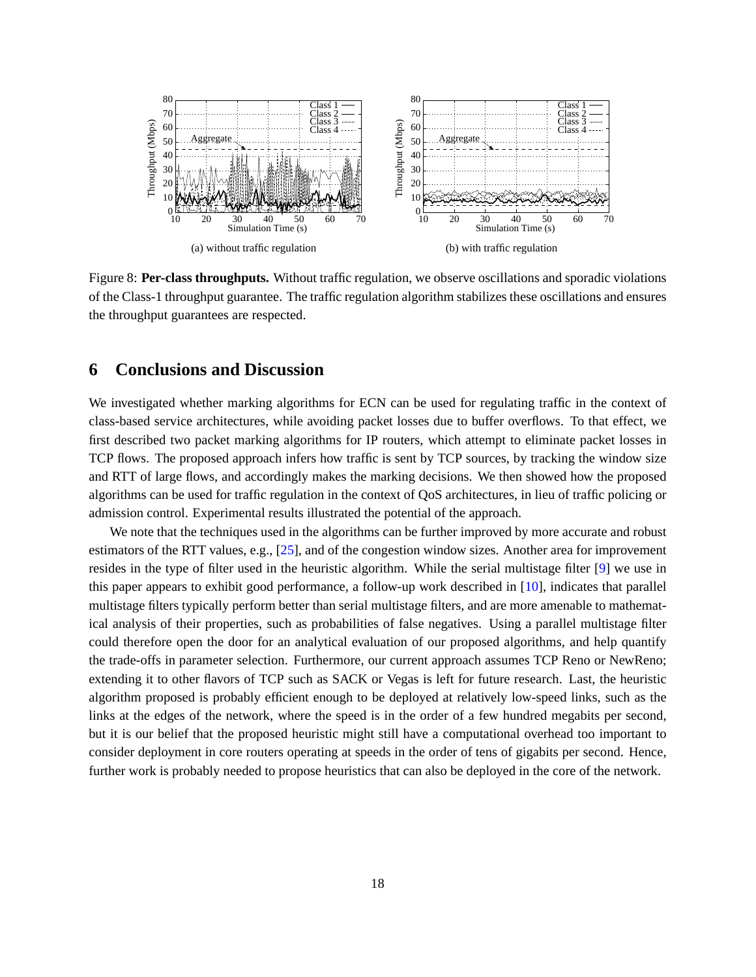

<span id="page-17-1"></span>Figure 8: **Per-class throughputs.** Without traffic regulation, we observe oscillations and sporadic violations of the Class-1 throughput guarantee. The traffic regulation algorithm stabilizes these oscillations and ensures the throughput guarantees are respected.

# <span id="page-17-0"></span>**6 Conclusions and Discussion**

We investigated whether marking algorithms for ECN can be used for regulating traffic in the context of class-based service architectures, while avoiding packet losses due to buffer overflows. To that effect, we first described two packet marking algorithms for IP routers, which attempt to eliminate packet losses in TCP flows. The proposed approach infers how traffic is sent by TCP sources, by tracking the window size and RTT of large flows, and accordingly makes the marking decisions. We then showed how the proposed algorithms can be used for traffic regulation in the context of QoS architectures, in lieu of traffic policing or admission control. Experimental results illustrated the potential of the approach.

We note that the techniques used in the algorithms can be further improved by more accurate and robust estimators of the RTT values, e.g., [\[25\]](#page-19-15), and of the congestion window sizes. Another area for improvement resides in the type of filter used in the heuristic algorithm. While the serial multistage filter [\[9\]](#page-18-13) we use in this paper appears to exhibit good performance, a follow-up work described in [\[10\]](#page-18-15), indicates that parallel multistage filters typically perform better than serial multistage filters, and are more amenable to mathematical analysis of their properties, such as probabilities of false negatives. Using a parallel multistage filter could therefore open the door for an analytical evaluation of our proposed algorithms, and help quantify the trade-offs in parameter selection. Furthermore, our current approach assumes TCP Reno or NewReno; extending it to other flavors of TCP such as SACK or Vegas is left for future research. Last, the heuristic algorithm proposed is probably efficient enough to be deployed at relatively low-speed links, such as the links at the edges of the network, where the speed is in the order of a few hundred megabits per second, but it is our belief that the proposed heuristic might still have a computational overhead too important to consider deployment in core routers operating at speeds in the order of tens of gigabits per second. Hence, further work is probably needed to propose heuristics that can also be deployed in the core of the network.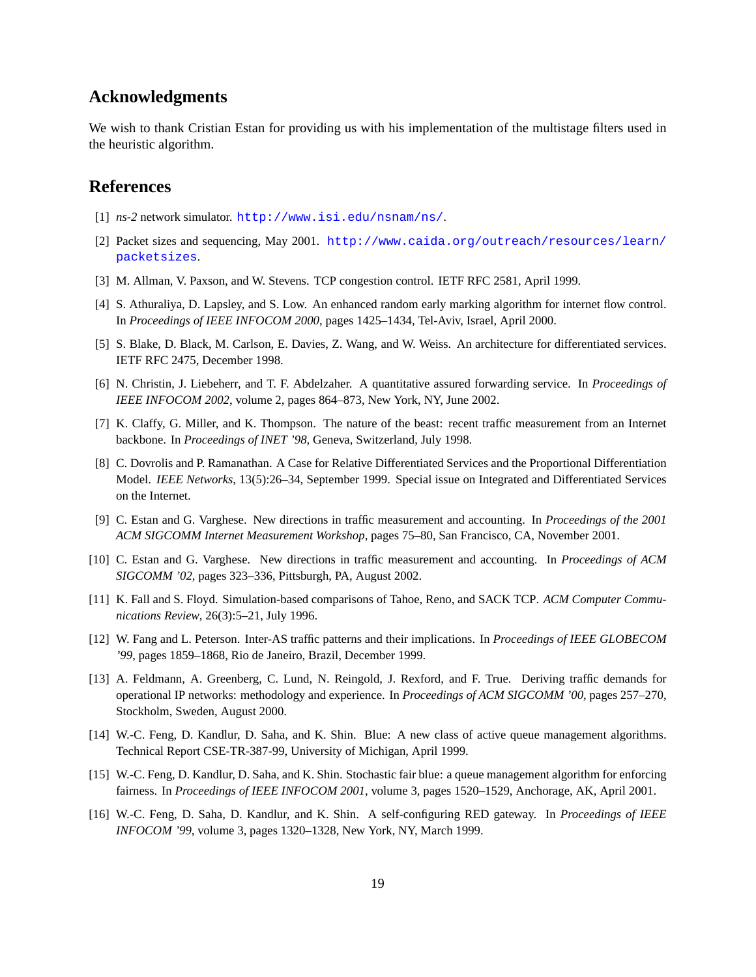# **Acknowledgments**

We wish to thank Cristian Estan for providing us with his implementation of the multistage filters used in the heuristic algorithm.

# **References**

- <span id="page-18-14"></span>[1] *ns-2* network simulator. <http://www.isi.edu/nsnam/ns/>.
- <span id="page-18-9"></span>[2] Packet sizes and sequencing, May 2001. [http://www.caida.org/outreach/resources/learn/](http://www.caida.org/outreach/resources/learn/packetsizes) [packetsizes](http://www.caida.org/outreach/resources/learn/packetsizes).
- <span id="page-18-4"></span>[3] M. Allman, V. Paxson, and W. Stevens. TCP congestion control. IETF RFC 2581, April 1999.
- <span id="page-18-5"></span>[4] S. Athuraliya, D. Lapsley, and S. Low. An enhanced random early marking algorithm for internet flow control. In *Proceedings of IEEE INFOCOM 2000*, pages 1425–1434, Tel-Aviv, Israel, April 2000.
- <span id="page-18-0"></span>[5] S. Blake, D. Black, M. Carlson, E. Davies, Z. Wang, and W. Weiss. An architecture for differentiated services. IETF RFC 2475, December 1998.
- <span id="page-18-1"></span>[6] N. Christin, J. Liebeherr, and T. F. Abdelzaher. A quantitative assured forwarding service. In *Proceedings of IEEE INFOCOM 2002*, volume 2, pages 864–873, New York, NY, June 2002.
- <span id="page-18-3"></span>[7] K. Claffy, G. Miller, and K. Thompson. The nature of the beast: recent traffic measurement from an Internet backbone. In *Proceedings of INET '98*, Geneva, Switzerland, July 1998.
- <span id="page-18-2"></span>[8] C. Dovrolis and P. Ramanathan. A Case for Relative Differentiated Services and the Proportional Differentiation Model. *IEEE Networks*, 13(5):26–34, September 1999. Special issue on Integrated and Differentiated Services on the Internet.
- <span id="page-18-13"></span>[9] C. Estan and G. Varghese. New directions in traffic measurement and accounting. In *Proceedings of the 2001 ACM SIGCOMM Internet Measurement Workshop*, pages 75–80, San Francisco, CA, November 2001.
- <span id="page-18-15"></span>[10] C. Estan and G. Varghese. New directions in traffic measurement and accounting. In *Proceedings of ACM SIGCOMM '02*, pages 323–336, Pittsburgh, PA, August 2002.
- <span id="page-18-12"></span>[11] K. Fall and S. Floyd. Simulation-based comparisons of Tahoe, Reno, and SACK TCP. *ACM Computer Communications Review*, 26(3):5–21, July 1996.
- <span id="page-18-10"></span>[12] W. Fang and L. Peterson. Inter-AS traffic patterns and their implications. In *Proceedings of IEEE GLOBECOM '99*, pages 1859–1868, Rio de Janeiro, Brazil, December 1999.
- <span id="page-18-11"></span>[13] A. Feldmann, A. Greenberg, C. Lund, N. Reingold, J. Rexford, and F. True. Deriving traffic demands for operational IP networks: methodology and experience. In *Proceedings of ACM SIGCOMM '00*, pages 257–270, Stockholm, Sweden, August 2000.
- <span id="page-18-6"></span>[14] W.-C. Feng, D. Kandlur, D. Saha, and K. Shin. Blue: A new class of active queue management algorithms. Technical Report CSE-TR-387-99, University of Michigan, April 1999.
- <span id="page-18-7"></span>[15] W.-C. Feng, D. Kandlur, D. Saha, and K. Shin. Stochastic fair blue: a queue management algorithm for enforcing fairness. In *Proceedings of IEEE INFOCOM 2001*, volume 3, pages 1520–1529, Anchorage, AK, April 2001.
- <span id="page-18-8"></span>[16] W.-C. Feng, D. Saha, D. Kandlur, and K. Shin. A self-configuring RED gateway. In *Proceedings of IEEE INFOCOM '99*, volume 3, pages 1320–1328, New York, NY, March 1999.